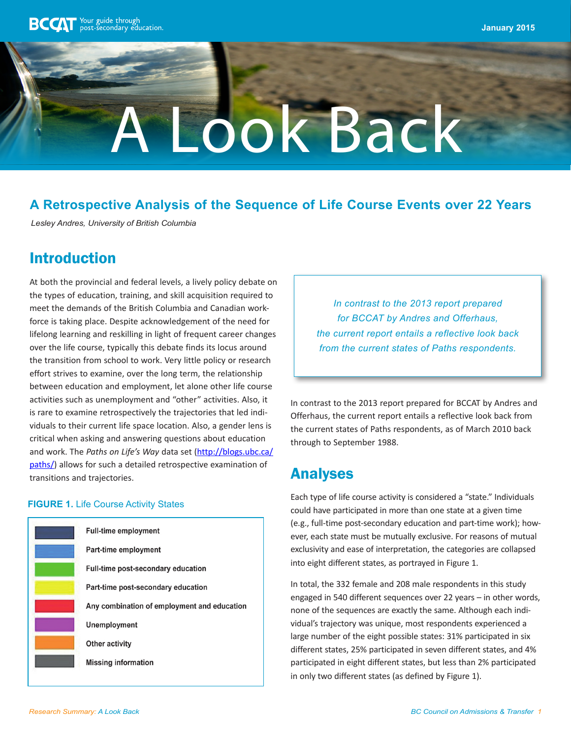

# A Look Back

## **A Retrospective Analysis of the Sequence of Life Course Events over 22 Years**

*Lesley Andres, University of British Columbia*

# Introduction

At both the provincial and federal levels, a lively policy debate on the types of education, training, and skill acquisition required to meet the demands of the British Columbia and Canadian workforce is taking place. Despite acknowledgement of the need for lifelong learning and reskilling in light of frequent career changes over the life course, typically this debate finds its locus around the transition from school to work. Very little policy or research effort strives to examine, over the long term, the relationship between education and employment, let alone other life course activities such as unemployment and "other" activities. Also, it is rare to examine retrospectively the trajectories that led individuals to their current life space location. Also, a gender lens is critical when asking and answering questions about education and work. The *Paths on Life's Way* data set (http://blogs.ubc.ca/ paths/) allows for such a detailed retrospective examination of transitions and trajectories.

#### **FIGURE 1. Life Course Activity States**



*In contrast to the 2013 report prepared for BCCAT by Andres and Offerhaus, the current report entails a reflective look back from the current states of Paths respondents.*

In contrast to the 2013 report prepared for BCCAT by Andres and Offerhaus, the current report entails a reflective look back from the current states of Paths respondents, as of March 2010 back through to September 1988.

## Analyses

Each type of life course activity is considered a "state." Individuals could have participated in more than one state at a given time (e.g., full-time post-secondary education and part-time work); however, each state must be mutually exclusive. For reasons of mutual exclusivity and ease of interpretation, the categories are collapsed into eight different states, as portrayed in Figure 1.

In total, the 332 female and 208 male respondents in this study engaged in 540 different sequences over 22 years – in other words, none of the sequences are exactly the same. Although each individual's trajectory was unique, most respondents experienced a large number of the eight possible states: 31% participated in six different states, 25% participated in seven different states, and 4% participated in eight different states, but less than 2% participated in only two different states (as defined by Figure 1).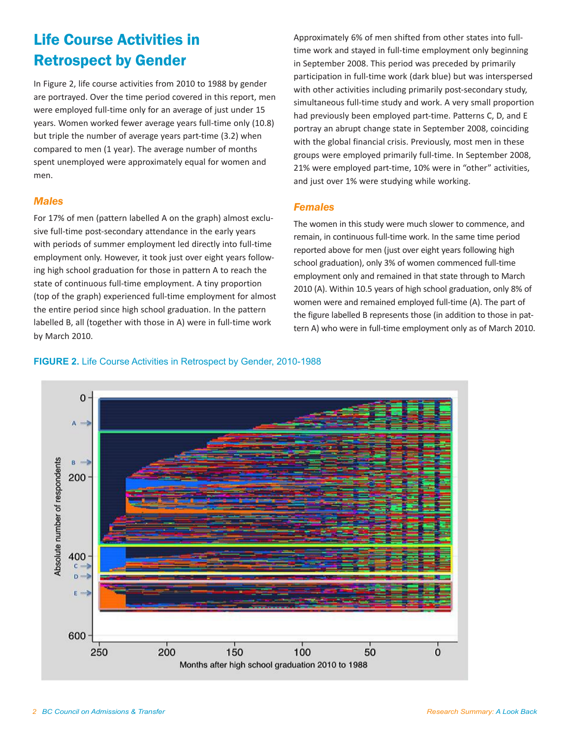# Life Course Activities in Retrospect by Gender

In Figure 2, life course activities from 2010 to 1988 by gender are portrayed. Over the time period covered in this report, men were employed full-time only for an average of just under 15 years. Women worked fewer average years full-time only (10.8) but triple the number of average years part-time (3.2) when compared to men (1 year). The average number of months spent unemployed were approximately equal for women and men.

### *Males*

For 17% of men (pattern labelled A on the graph) almost exclusive full-time post-secondary attendance in the early years with periods of summer employment led directly into full-time employment only. However, it took just over eight years following high school graduation for those in pattern A to reach the state of continuous full-time employment. A tiny proportion (top of the graph) experienced full-time employment for almost the entire period since high school graduation. In the pattern labelled B, all (together with those in A) were in full-time work by March 2010.

Approximately 6% of men shifted from other states into fulltime work and stayed in full-time employment only beginning in September 2008. This period was preceded by primarily participation in full-time work (dark blue) but was interspersed with other activities including primarily post-secondary study, simultaneous full-time study and work. A very small proportion had previously been employed part-time. Patterns C, D, and E portray an abrupt change state in September 2008, coinciding with the global financial crisis. Previously, most men in these groups were employed primarily full-time. In September 2008, 21% were employed part-time, 10% were in "other" activities, and just over 1% were studying while working.

## *Females*

The women in this study were much slower to commence, and remain, in continuous full-time work. In the same time period reported above for men (just over eight years following high school graduation), only 3% of women commenced full-time employment only and remained in that state through to March 2010 (A). Within 10.5 years of high school graduation, only 8% of women were and remained employed full-time (A). The part of the figure labelled B represents those (in addition to those in pattern A) who were in full-time employment only as of March 2010.



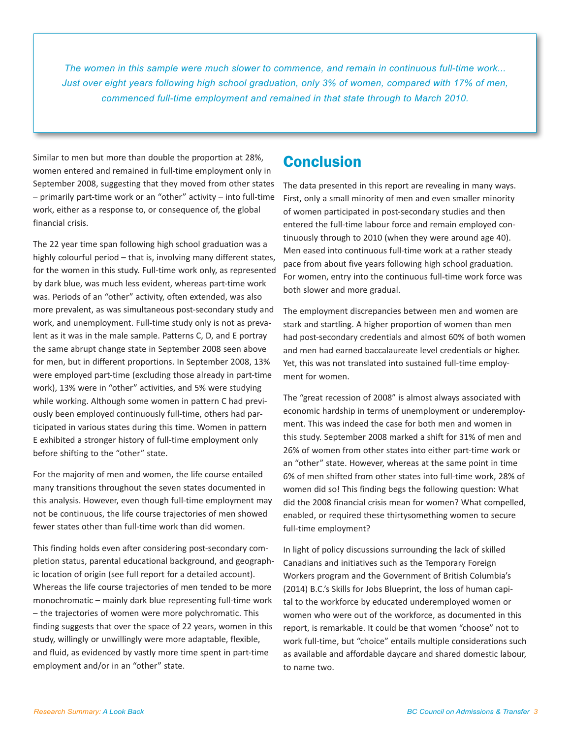*The women in this sample were much slower to commence, and remain in continuous full-time work... Just over eight years following high school graduation, only 3% of women, compared with 17% of men, commenced full-time employment and remained in that state through to March 2010.*

Similar to men but more than double the proportion at 28%, women entered and remained in full-time employment only in September 2008, suggesting that they moved from other states – primarily part-time work or an "other" activity – into full-time work, either as a response to, or consequence of, the global financial crisis.

The 22 year time span following high school graduation was a highly colourful period – that is, involving many different states, for the women in this study. Full-time work only, as represented by dark blue, was much less evident, whereas part-time work was. Periods of an "other" activity, often extended, was also more prevalent, as was simultaneous post-secondary study and work, and unemployment. Full-time study only is not as prevalent as it was in the male sample. Patterns C, D, and E portray the same abrupt change state in September 2008 seen above for men, but in different proportions. In September 2008, 13% were employed part-time (excluding those already in part-time work), 13% were in "other" activities, and 5% were studying while working. Although some women in pattern C had previously been employed continuously full-time, others had participated in various states during this time. Women in pattern E exhibited a stronger history of full-time employment only before shifting to the "other" state.

For the majority of men and women, the life course entailed many transitions throughout the seven states documented in this analysis. However, even though full-time employment may not be continuous, the life course trajectories of men showed fewer states other than full-time work than did women.

This finding holds even after considering post-secondary completion status, parental educational background, and geographic location of origin (see full report for a detailed account). Whereas the life course trajectories of men tended to be more monochromatic – mainly dark blue representing full-time work – the trajectories of women were more polychromatic. This finding suggests that over the space of 22 years, women in this study, willingly or unwillingly were more adaptable, flexible, and fluid, as evidenced by vastly more time spent in part-time employment and/or in an "other" state.

## Conclusion

The data presented in this report are revealing in many ways. First, only a small minority of men and even smaller minority of women participated in post-secondary studies and then entered the full-time labour force and remain employed continuously through to 2010 (when they were around age 40). Men eased into continuous full-time work at a rather steady pace from about five years following high school graduation. For women, entry into the continuous full-time work force was both slower and more gradual.

The employment discrepancies between men and women are stark and startling. A higher proportion of women than men had post-secondary credentials and almost 60% of both women and men had earned baccalaureate level credentials or higher. Yet, this was not translated into sustained full-time employment for women.

The "great recession of 2008" is almost always associated with economic hardship in terms of unemployment or underemployment. This was indeed the case for both men and women in this study. September 2008 marked a shift for 31% of men and 26% of women from other states into either part-time work or an "other" state. However, whereas at the same point in time 6% of men shifted from other states into full-time work, 28% of women did so! This finding begs the following question: What did the 2008 financial crisis mean for women? What compelled, enabled, or required these thirtysomething women to secure full-time employment?

In light of policy discussions surrounding the lack of skilled Canadians and initiatives such as the Temporary Foreign Workers program and the Government of British Columbia's (2014) B.C.'s Skills for Jobs Blueprint, the loss of human capital to the workforce by educated underemployed women or women who were out of the workforce, as documented in this report, is remarkable. It could be that women "choose" not to work full-time, but "choice" entails multiple considerations such as available and affordable daycare and shared domestic labour, to name two.